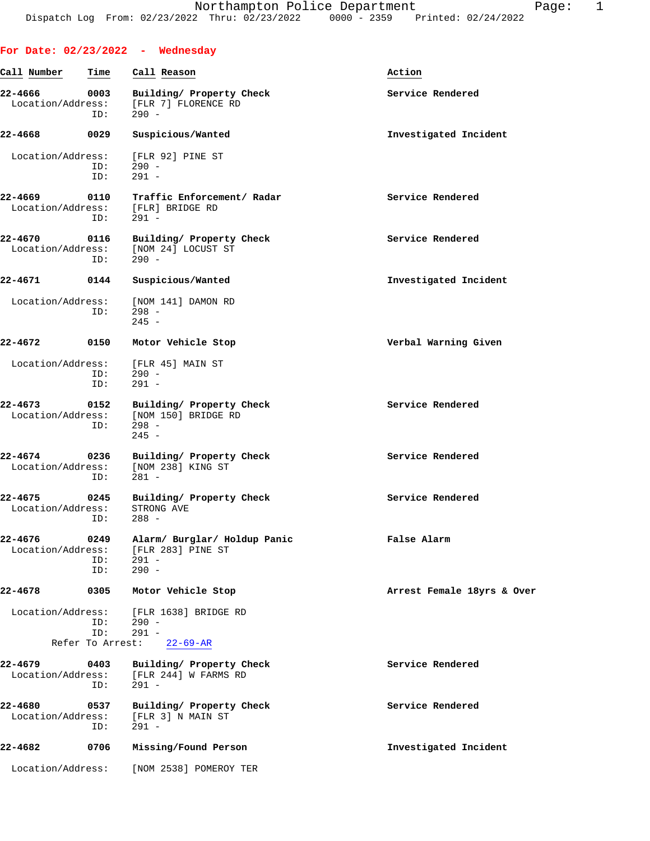|                                     |                    | For Date: $02/23/2022 -$ Wednesday                                    |                            |
|-------------------------------------|--------------------|-----------------------------------------------------------------------|----------------------------|
| Call Number                         | Time               | Call Reason                                                           | Action                     |
| 22-4666<br>Location/Address:        | 0003<br>ID:        | Building/ Property Check<br>[FLR 7] FLORENCE RD<br>$290 -$            | Service Rendered           |
| 22-4668                             | 0029               | Suspicious/Wanted                                                     | Investigated Incident      |
| Location/Address:                   | ID:<br>ID:         | [FLR 92] PINE ST<br>$290 -$<br>$291 -$                                |                            |
| 22-4669<br>Location/Address:        | 0110<br>ID:        | Traffic Enforcement/ Radar<br>[FLR] BRIDGE RD<br>$291 -$              | Service Rendered           |
| 22-4670<br>Location/Address:        | 0116<br>ID:        | Building/ Property Check<br>[NOM 24] LOCUST ST<br>$290 -$             | Service Rendered           |
| 22-4671                             | 0144               | Suspicious/Wanted                                                     | Investigated Incident      |
| Location/Address:                   | ID:                | [NOM 141] DAMON RD<br>$298 -$<br>$245 -$                              |                            |
| 22-4672                             | 0150               | Motor Vehicle Stop                                                    | Verbal Warning Given       |
| Location/Address:                   | ID:<br>ID:         | [FLR 45] MAIN ST<br>$290 -$<br>$291 -$                                |                            |
| 22-4673<br>Location/Address:        | 0152<br>ID:        | Building/ Property Check<br>[NOM 150] BRIDGE RD<br>$298 -$<br>$245 -$ | Service Rendered           |
| 22-4674<br>Location/Address:        | 0236<br>ID:        | Building/ Property Check<br>[NOM 238] KING ST<br>$281 -$              | Service Rendered           |
| 22-4675<br>Location/Address:<br>ID: | 0245               | Building/ Property Check<br>STRONG AVE<br>$288 -$                     | Service Rendered           |
| 22-4676<br>Location/Address:        | 0249<br>ID:<br>ID: | Alarm/ Burglar/ Holdup Panic<br>[FLR 283] PINE ST<br>291 -<br>$290 -$ | False Alarm                |
| 22-4678                             | 0305               | Motor Vehicle Stop                                                    | Arrest Female 18yrs & Over |
| Location/Address:                   | ID:<br>ID:         | [FLR 1638] BRIDGE RD<br>$290 -$<br>291 -<br>Refer To Arrest: 22-69-AR |                            |
| 22-4679<br>Location/Address:        | 0403<br>ID:        | Building/ Property Check<br>[FLR 244] W FARMS RD<br>291 -             | Service Rendered           |
| 22-4680<br>Location/Address:        | 0537<br>ID:        | Building/ Property Check<br>[FLR 3] N MAIN ST<br>$291 -$              | Service Rendered           |
| 22-4682                             | 0706               | Missing/Found Person                                                  | Investigated Incident      |
| Location/Address:                   |                    | [NOM 2538] POMEROY TER                                                |                            |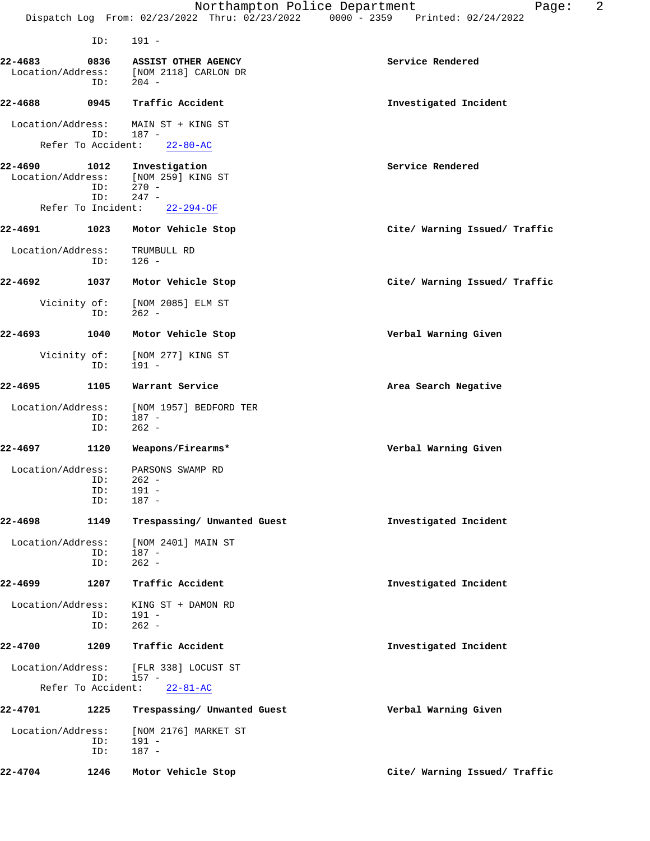Dispatch Log From: 02/23/2022 Thru: 02/23/2022 0000 - 2359 Printed: 02/24/2022 ID: 191 - **22-4683 0836 ASSIST OTHER AGENCY Service Rendered** Location/Address: [NOM 2118] CARLON DR<br>ID: 204 - $\frac{110}{204}$  -**22-4688 0945 Traffic Accident Investigated Incident** Location/Address: MAIN ST + KING ST<br>ID: 187 - $187 -$ <br>nt: 22-80-AC Refer To Accident: **22-4690 1012 Investigation Service Rendered** Location/Address: [NOM 259] KING ST<br>ID: 270 -ID:<br>ID:  $247 -$  Refer To Incident: 22-294-OF **22-4691 1023 Motor Vehicle Stop Cite/ Warning Issued/ Traffic** Location/Address: TRUMBULL RD ID: 126 - **22-4692 1037 Motor Vehicle Stop Cite/ Warning Issued/ Traffic** Vicinity of: [NOM 2085] ELM ST<br>ID: 262 - $262 -$ **22-4693 1040 Motor Vehicle Stop Verbal Warning Given** Vicinity of: [NOM 277] KING ST ID: 191 - 22-4695 1105 Warrant Service **Area Search Negative** Location/Address: [NOM 1957] BEDFORD TER<br>ID: 187 - ID: 187 - ID: 262 - **22-4697 1120 Weapons/Firearms\* Verbal Warning Given** Location/Address: PARSONS SWAMP RD ID: 262 - ID: 191 -<br>ID: 187 - ID: 187 - **22-4698 1149 Trespassing/ Unwanted Guest Investigated Incident** Location/Address: [NOM 2401] MAIN ST<br>ID: 187 - ID: 187 - ID: 262 - **22-4699 1207 Traffic Accident Investigated Incident** Location/Address: KING ST + DAMON RD ID: 191 -<br>ID: 262 - $262 -$ **22-4700 1209 Traffic Accident Investigated Incident** Location/Address: [FLR 338] LOCUST ST ID: 157 - Refer To Accident: 22-81-AC **22-4701 1225 Trespassing/ Unwanted Guest Verbal Warning Given** Location/Address: [NOM 2176] MARKET ST ID: 191 –<br>ID: 187 – ID: 187 -

**22-4704 1246 Motor Vehicle Stop Cite/ Warning Issued/ Traffic**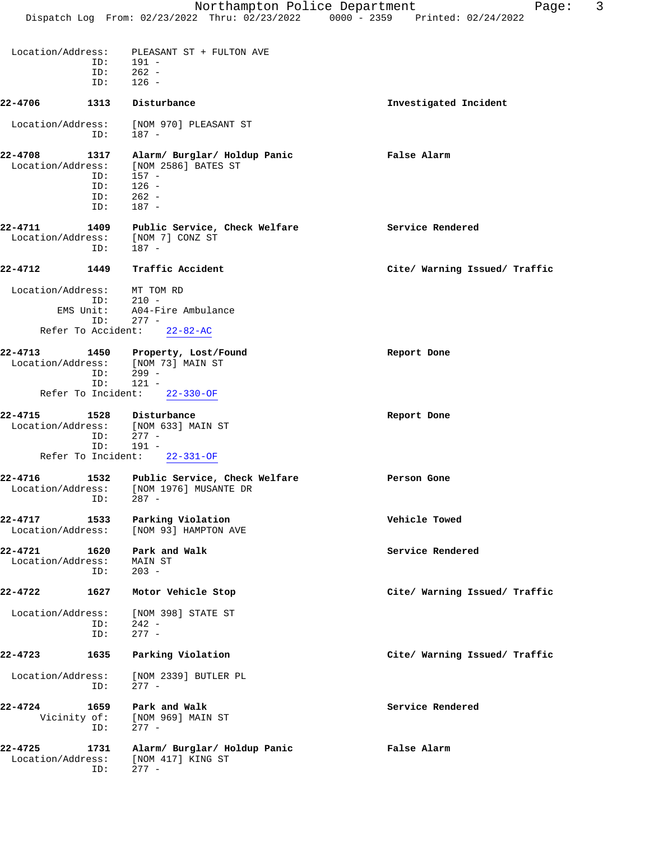|                   |                    | Northampton Police Department<br>Dispatch Log From: 02/23/2022 Thru: 02/23/2022 0000 - 2359 Printed: 02/24/2022 | 3<br>Page:                    |
|-------------------|--------------------|-----------------------------------------------------------------------------------------------------------------|-------------------------------|
|                   |                    |                                                                                                                 |                               |
| Location/Address: |                    | PLEASANT ST + FULTON AVE                                                                                        |                               |
|                   | ID:                | $191 -$                                                                                                         |                               |
|                   | ID:                | $262 -$                                                                                                         |                               |
|                   | ID:                | $126 -$                                                                                                         |                               |
| 22-4706           | 1313               | Disturbance                                                                                                     | Investigated Incident         |
| Location/Address: | ID:                | [NOM 970] PLEASANT ST<br>187 -                                                                                  |                               |
| 22-4708           | 1317               | Alarm/ Burglar/ Holdup Panic                                                                                    | False Alarm                   |
| Location/Address: |                    | [NOM 2586] BATES ST                                                                                             |                               |
|                   | ID:                | 157 -                                                                                                           |                               |
|                   | ID:                | $126 -$                                                                                                         |                               |
|                   | ID:                | $262 -$                                                                                                         |                               |
|                   | ID:                | $187 -$                                                                                                         |                               |
| 22-4711           | 1409               | Public Service, Check Welfare                                                                                   | Service Rendered              |
| Location/Address: |                    | [NOM 7] CONZ ST                                                                                                 |                               |
|                   | ID:                | $187 -$                                                                                                         |                               |
| 22-4712           | 1449               | Traffic Accident                                                                                                | Cite/ Warning Issued/ Traffic |
| Location/Address: | ID:                | MT TOM RD<br>$210 -$                                                                                            |                               |
|                   | EMS Unit:<br>ID:   | A04-Fire Ambulance<br>$277 -$                                                                                   |                               |
|                   | Refer To Accident: | $22 - 82 - AC$                                                                                                  |                               |
| 22-4713           |                    | 1450 Property, Lost/Found                                                                                       | Report Done                   |
| Location/Address: |                    | [NOM 73] MAIN ST                                                                                                |                               |
|                   | ID:                | $299 -$                                                                                                         |                               |
|                   | ID:                | $121 -$                                                                                                         |                               |
|                   | Refer To Incident: | $22 - 330 - OF$                                                                                                 |                               |
| 22-4715           | 1528               | Disturbance                                                                                                     | Report Done                   |
| Location/Address: |                    | [NOM 633] MAIN ST                                                                                               |                               |
|                   | ID:                | $277 -$                                                                                                         |                               |
|                   | ID:                | $191 -$                                                                                                         |                               |
|                   | Refer To Incident: | $22 - 331 - OF$                                                                                                 |                               |
| 22-4716           | 1532               | Public Service, Check Welfare                                                                                   | Person Gone                   |
| Location/Address: |                    | [NOM 1976] MUSANTE DR                                                                                           |                               |
|                   | ID:                | $287 -$                                                                                                         |                               |
|                   |                    |                                                                                                                 |                               |

- **22-4717 1533 Parking Violation Vehicle Towed** Location/Address: [NOM 93] HAMPTON AVE
- **22-4721 1620 Park and Walk Service Rendered** Location/Address: MAIN ST<br>ID: 203 - $203 -$
- **22-4722 1627 Motor Vehicle Stop Cite/ Warning Issued/ Traffic**
- Location/Address: [NOM 398] STATE ST<br>ID: 242 -ID: 242 -<br>ID: 277 - $277 -$

## **22-4723 1635 Parking Violation Cite/ Warning Issued/ Traffic**

- Location/Address: [NOM 2339] BUTLER PL ID: 277 -
- **22-4724 1659 Park and Walk Service Rendered** Vicinity of: [NOM 969] MAIN ST ID: 277 -
- **22-4725 1731 Alarm/ Burglar/ Holdup Panic False Alarm** Location/Address: [NOM 417] KING ST ID: 277 -
- 
- 
-